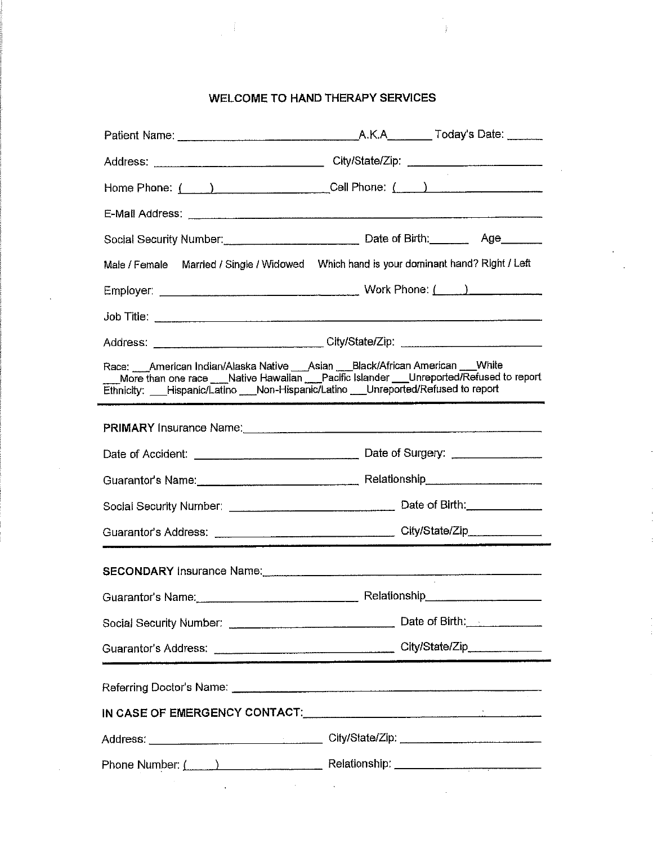### WELCOME TO HAND THERAPY SERVICES

 $\lambda$ j.

|                                                                                                                                                                            | Address: _________________________________City/State/Zip: ______________________                                                                                                                                               |
|----------------------------------------------------------------------------------------------------------------------------------------------------------------------------|--------------------------------------------------------------------------------------------------------------------------------------------------------------------------------------------------------------------------------|
|                                                                                                                                                                            | Home Phone: ( ) _____________________Cell Phone: ( ___ ) _______________________                                                                                                                                               |
|                                                                                                                                                                            |                                                                                                                                                                                                                                |
|                                                                                                                                                                            |                                                                                                                                                                                                                                |
| Male / Female                                                                                                                                                              |                                                                                                                                                                                                                                |
|                                                                                                                                                                            |                                                                                                                                                                                                                                |
|                                                                                                                                                                            |                                                                                                                                                                                                                                |
|                                                                                                                                                                            | Address: ______________________________City/State/Zip: _________________________                                                                                                                                               |
| Race: ___American Indian/Alaska Native ___Asian ___Black/African American ___White<br>Ethnicity: ___Hispanic/Latino ___Non-Hispanic/Latino ___Unreported/Refused to report | More than one race ___Native Hawaiian ___Pacific Islander ___Unreported/Refused to report                                                                                                                                      |
|                                                                                                                                                                            | PRIMARY Insurance Name: Manual Communication of the PRIMARY Insurance Name:                                                                                                                                                    |
|                                                                                                                                                                            |                                                                                                                                                                                                                                |
|                                                                                                                                                                            |                                                                                                                                                                                                                                |
|                                                                                                                                                                            |                                                                                                                                                                                                                                |
|                                                                                                                                                                            |                                                                                                                                                                                                                                |
|                                                                                                                                                                            | SECONDARY Insurance Name: Mannell Contract Contract Contract Contract Contract Contract Contract Contract Contract Contract Contract Contract Contract Contract Contract Contract Contract Contract Contract Contract Contract |
|                                                                                                                                                                            | Guarantor's Name: Communication Relationship                                                                                                                                                                                   |
|                                                                                                                                                                            | Date of Birth:                                                                                                                                                                                                                 |
|                                                                                                                                                                            |                                                                                                                                                                                                                                |
| Referring Doctor's Name: [2010] Referring Doctor's Name: [2010] Referring Doctor's Name: [2010] Referring Doctor                                                           |                                                                                                                                                                                                                                |
|                                                                                                                                                                            | IN CASE OF EMERGENCY CONTACT: The Contract of the Case of the Contract of the Case of the Contract of the Case of the Case of the Case of the Case of the Case of the Case of the Case of the Case of the Case of the Case of  |
|                                                                                                                                                                            |                                                                                                                                                                                                                                |
|                                                                                                                                                                            | Phone Number: ( ) Relationship: Relationship:                                                                                                                                                                                  |
|                                                                                                                                                                            |                                                                                                                                                                                                                                |

 $\bar{z}$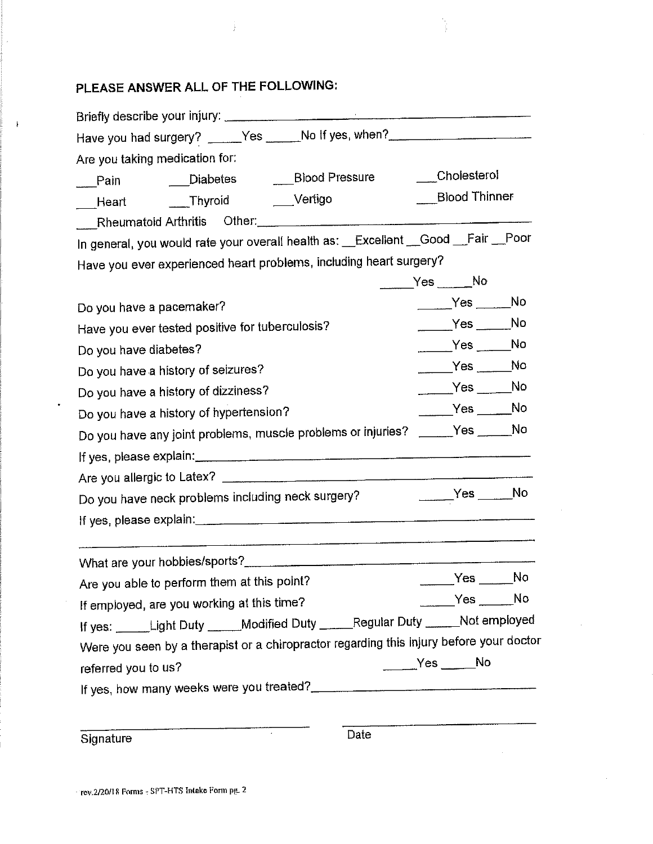# PLEASE ANSWER ALL OF THE FOLLOWING:

 $\downarrow$ 

ţ

| Have you had surgery? _____Yes _____No If yes, when?_______________________             |  |  |  |  |  |  |
|-----------------------------------------------------------------------------------------|--|--|--|--|--|--|
| Are you taking medication for:                                                          |  |  |  |  |  |  |
| Cholesterol<br>Pain _____Diabetes ______Blood Pressure                                  |  |  |  |  |  |  |
| Blood Thinner<br>Heart _____Thyroid _____Vertigo                                        |  |  |  |  |  |  |
| Rheumatoid Arthritis Other:                                                             |  |  |  |  |  |  |
| In general, you would rate your overall health as: _Excellent _Good _Fair _Poor         |  |  |  |  |  |  |
| Have you ever experienced heart problems, including heart surgery?                      |  |  |  |  |  |  |
| Yes No                                                                                  |  |  |  |  |  |  |
| $Yes$ No<br>Do you have a pacemaker?                                                    |  |  |  |  |  |  |
| $Yes$ No<br>Have you ever tested positive for tuberculosis?                             |  |  |  |  |  |  |
| $Yes$ No<br>Do you have diabetes?                                                       |  |  |  |  |  |  |
| $Yes$ ________No<br>Do you have a history of seizures?                                  |  |  |  |  |  |  |
| $Yes$ ______No<br>Do you have a history of dizziness?                                   |  |  |  |  |  |  |
| $Yes$ No<br>Do you have a history of hypertension?                                      |  |  |  |  |  |  |
| Do you have any joint problems, muscle problems or injuries? _____Yes _____No           |  |  |  |  |  |  |
|                                                                                         |  |  |  |  |  |  |
|                                                                                         |  |  |  |  |  |  |
| $Yes$ No<br>Do you have neck problems including neck surgery?                           |  |  |  |  |  |  |
|                                                                                         |  |  |  |  |  |  |
|                                                                                         |  |  |  |  |  |  |
| No.<br>Yes<br>Are you able to perform them at this point?                               |  |  |  |  |  |  |
| $Yes$ No<br>If employed, are you working at this time?                                  |  |  |  |  |  |  |
| If yes: Light Duty _____Modified Duty _____Regular Duty _____Not employed               |  |  |  |  |  |  |
| Were you seen by a therapist or a chiropractor regarding this injury before your doctor |  |  |  |  |  |  |
| $Yes$ No<br>referred you to us?                                                         |  |  |  |  |  |  |
| If yes, how many weeks were you treated?                                                |  |  |  |  |  |  |
|                                                                                         |  |  |  |  |  |  |

Signature

 $\overline{Date}$ 

 $\epsilon$ 

l,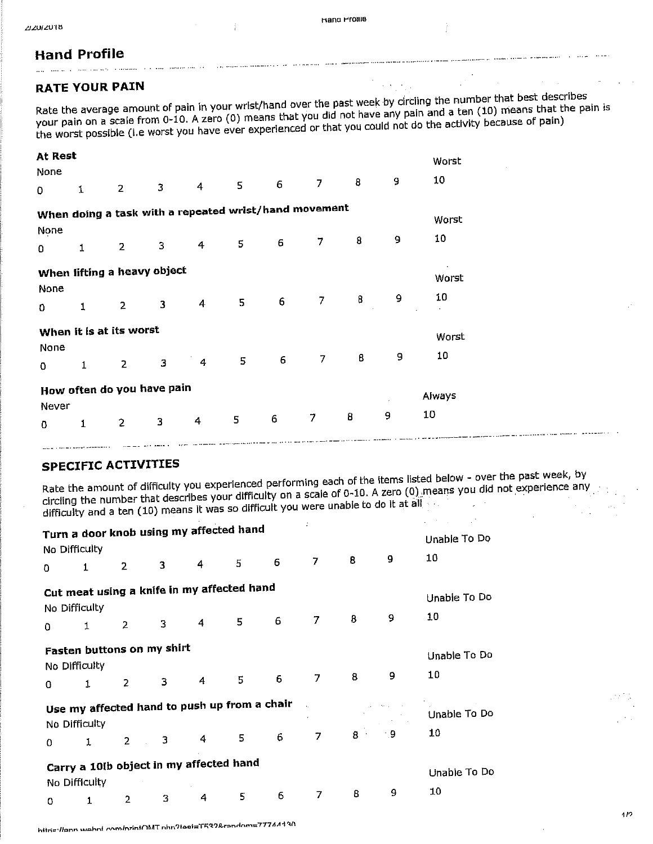**Hand Profile** 

and the company of the state of the state of the state of the state of the state of the state of the state of the state of the state of the state of the state of the state of the state of the state of the state of the stat

#### **RATE YOUR PAIN**

Rate the average amount of pain in your wrist/hand over the past week by circling the number that best describes your pain on a scale from 0-10. A zero (0) means that you did not have any pain and a ten (10) means that the pain is the worst possible (i.e worst you have ever experienced or that you could not do the activity because of pain)

| At Rest<br>None |             |                                                       |                         |                                                       |                 |                  |                |   |   | Worst                  |
|-----------------|-------------|-------------------------------------------------------|-------------------------|-------------------------------------------------------|-----------------|------------------|----------------|---|---|------------------------|
| 0               | $\mathbf 1$ | $\overline{2}$                                        | 3                       | $\overline{4}$                                        | $\mathsf S$     | $6\phantom{1}$   | $\overline{7}$ | 8 | 9 | 10                     |
| None            |             |                                                       |                         | When doing a task with a repeated wrist/hand movement |                 |                  |                |   |   | Worst                  |
| 0               | 1           | $\mathbf{2}$                                          | 3                       | 4                                                     | 5               | $\epsilon$       | 7              | 8 | 9 | 10                     |
| None<br>0       | 1           | When lifting a heavy object<br>$\overline{2}$         | $\overline{\mathbf{3}}$ | $\overline{4}$                                        | $5\phantom{.0}$ | 6                | 7              | 8 | 9 | $\cdot$<br>Worst<br>10 |
| None<br>0       | 1           | When it is at its worst<br>$\overline{2}$             | 3                       | 4                                                     | 5               | 6                | 7              | 8 | 9 | Worst<br>10            |
| Never<br>0      | 1           | How often do you have pain<br>$\overline{\mathbf{c}}$ | 3                       | 4                                                     | 5               | $\boldsymbol{6}$ | $\overline{7}$ | 8 | 9 | Always<br>10           |

#### **SPECIFIC ACTIVITIES**

the control of the control of the control of

Rate the amount of difficulty you experienced performing each of the items listed below - over the past week, by circling the number that describes your difficulty on a scale of 0-10. A zero (0) means you did not experience any difficulty and a ten (10) means it was so difficult you were unable to do it at all

|                               | Turn a door knob using my affected hand                     |                |   |   |   |   |   |       |     |              |
|-------------------------------|-------------------------------------------------------------|----------------|---|---|---|---|---|-------|-----|--------------|
|                               | No Difficulty                                               |                |   |   |   |   |   |       |     | Unable To Do |
| $\Omega$                      | 1                                                           | $\overline{2}$ | 3 | 4 | 5 | 6 | 7 | 8     | 9   | 10           |
|                               | Cut meat using a knife in my affected hand<br>No Difficulty |                |   |   |   |   |   |       |     | Unable To Do |
| $\Omega$                      | 1                                                           | $\overline{2}$ | 3 | 4 | 5 | 6 | 7 | 8     | 9   | 10           |
|                               | Fasten buttons on my shirt<br>No Difficulty                 |                |   |   |   |   |   |       |     | Unable To Do |
| 0                             | 1                                                           | $\overline{2}$ | 3 | 4 | 5 | 6 | 7 | 8     | 9   | 10           |
|                               | Use my affected hand to push up from a chair                |                |   |   |   |   |   |       |     | Unable To Do |
| 0                             | No Difficulty<br>1                                          | $2^{\circ}$    | 3 | 4 | 5 | 6 | 7 | $8 -$ | - 9 | 10           |
|                               | Carry a 10th object in my affected hand<br>No Difficulty    |                |   |   |   |   |   |       |     | Unable To Do |
| $\mathsf{n}$ and $\mathsf{n}$ |                                                             |                | 3 | 4 | 5 | 6 | 7 | 8     | 9   | 10           |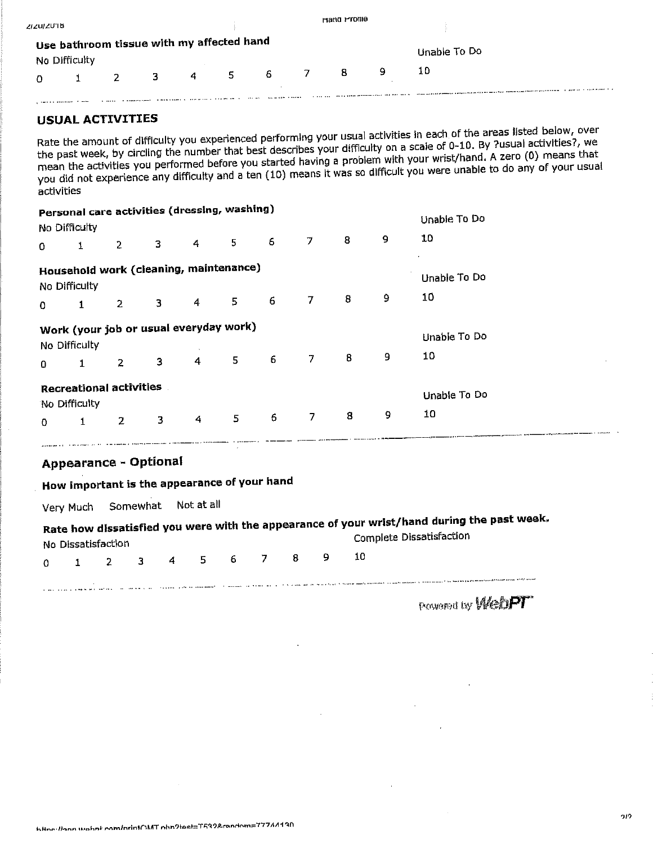| פו טגוועזי |                                                            |    |   |    |    | mand MTOTHe |   |              |
|------------|------------------------------------------------------------|----|---|----|----|-------------|---|--------------|
|            | Use bathroom tissue with my affected hand<br>No Difficulty |    |   |    |    |             |   | Unable To Do |
|            |                                                            | З. | 4 | 5. | -6 | 8           | 9 | 10           |
|            |                                                            |    |   |    |    |             |   |              |

#### **USUAL ACTIVITIES**

Rate the amount of difficulty you experienced performing your usual activities in each of the areas listed below, over the past week, by circling the number that best describes your difficulty on a scale of 0-10. By ?usual activities?, we mean the activities you performed before you started having a problem with your wrist/hand. A zero (0) means that you did not experience any difficulty and a ten (10) means it was so difficult you were unable to do any of your usual activities

|          | No Difficulty | Personal care activities (dressing, washing) |   |   |   |   |   |   |   | Unable To Do |
|----------|---------------|----------------------------------------------|---|---|---|---|---|---|---|--------------|
| 0        | 1             | $\overline{2}$                               | 3 | 4 | 5 | 6 | 7 | 8 | 9 | 10           |
|          | No Difficulty | Household work (cleaning, maintenance)       |   |   |   |   |   |   |   | Unable To Do |
| $\Omega$ | 1             | 2                                            | 3 | 4 | 5 | 6 | 7 | 8 | 9 | 10           |
|          | No Difficulty | Work (your job or usual everyday work)       |   |   |   |   |   |   |   | Unable To Do |
| $\Omega$ | 1             | $\overline{2}$                               | 3 | 4 | 5 | 6 | 7 | 8 | 9 | 10           |
|          | No Difficulty | <b>Recreational activities</b>               |   |   |   |   |   |   |   | Unable To Do |
| O        | 1             | $\mathbf{Z}$                                 | 3 | 4 | 5 | 6 | 7 | 8 | 9 | 10           |

## ومراوا ممتحسنا سأومانيا والمتساعية الأرادين وستركض والاستراطات **Appearance - Optional**

# How important is the appearance of your hand

Somewhat Not at all Very Much

|                                                       | No Dissatisfaction |  |  |  | Rate how dissatisfied you were with the appearance of your wrist/hand during the past week.<br>Complete Dissatisfaction |
|-------------------------------------------------------|--------------------|--|--|--|-------------------------------------------------------------------------------------------------------------------------|
|                                                       |                    |  |  |  | 0 1 2 3 4 5 6 7 8 9 10                                                                                                  |
| the paper and accuracy to the first state of the con- |                    |  |  |  | i saan ada saannad isticmeen ay taariin 1999 kan ni Beleida Saannan dhaman ayna maan maan ay maa dawnamadammam dagma    |

**Provenct by Week PT**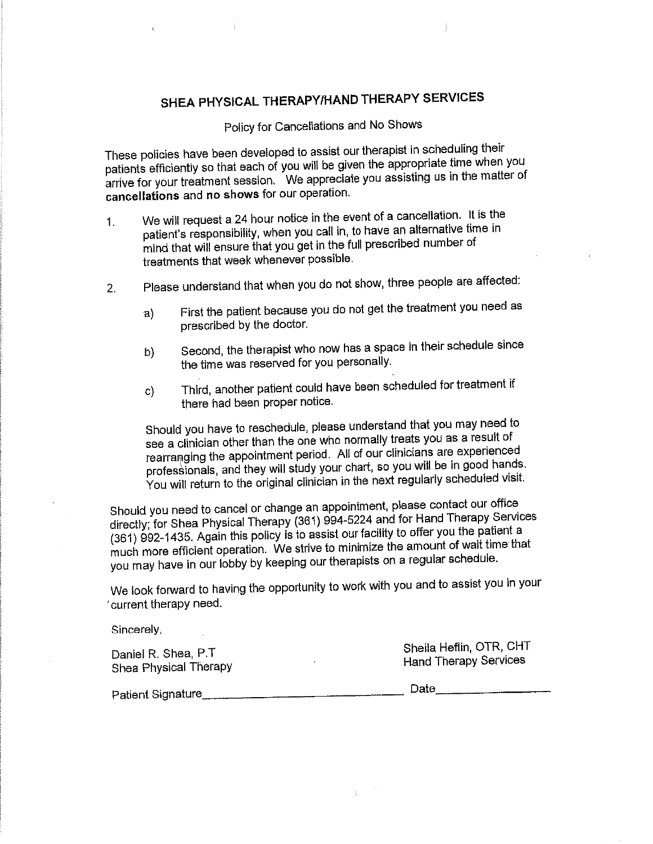# SHEA PHYSICAL THERAPY/HAND THERAPY SERVICES

Policy for Cancellations and No Shows

These policies have been developed to assist our therapist in scheduling their patients efficiently so that each of you will be given the appropriate time when you arrive for your treatment session. We appreciate you assisting us in the matter of cancellations and no shows for our operation.

- We will request a 24 hour notice in the event of a cancellation. It is the  $1<sub>1</sub>$ patient's responsibility, when you call in, to have an alternative time in mind that will ensure that you get in the full prescribed number of treatments that week whenever possible.
- Please understand that when you do not show, three people are affected:  $2<sub>1</sub>$ 
	- First the patient because you do not get the treatment you need as  $a)$ prescribed by the doctor.
	- Second, the therapist who now has a space in their schedule since b) the time was reserved for you personally.
	- Third, another patient could have been scheduled for treatment if C) there had been proper notice.

Should you have to reschedule, please understand that you may need to see a clinician other than the one who normally treats you as a result of rearranging the appointment period. All of our clinicians are experienced professionals, and they will study your chart, so you will be in good hands. You will return to the original clinician in the next regularly scheduled visit.

Should you need to cancel or change an appointment, please contact our office directly; for Shea Physical Therapy (361) 994-5224 and for Hand Therapy Services (361) 992-1435. Again this policy is to assist our facility to offer you the patient a much more efficient operation. We strive to minimize the amount of walt time that you may have in our lobby by keeping our therapists on a regular schedule.

We look forward to having the opportunity to work with you and to assist you in your current therapy need.

<u> 1990 - Jan James James James James (</u>

Sincerely,

Daniel R. Shea, P.T Shea Physical Therapy

Sheila Heflin, OTR, CHT **Hand Therapy Services** 

Patient Signature

Date 2008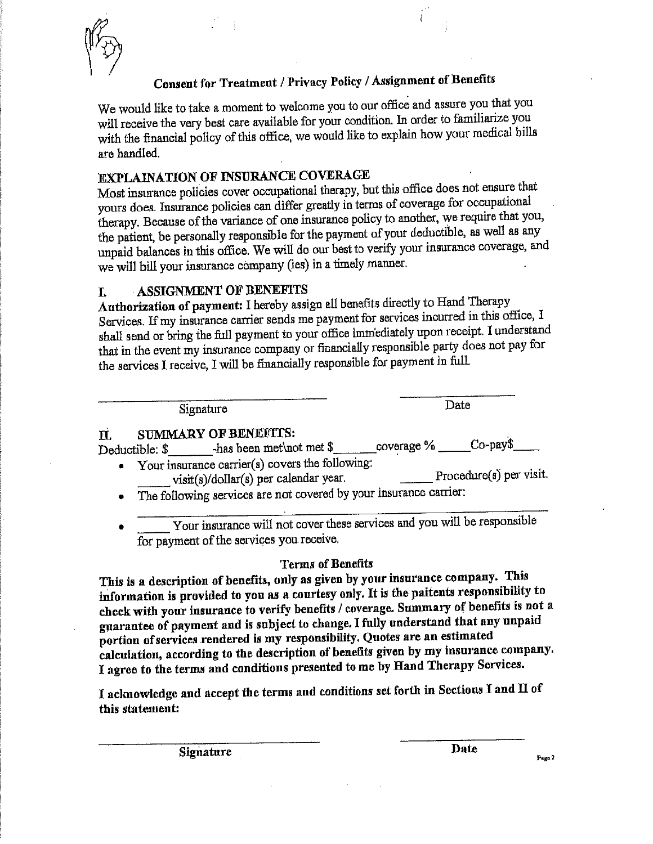

## Consent for Treatment / Privacy Policy / Assignment of Benefits

We would like to take a moment to welcome you to our office and assure you that you will receive the very best care available for your condition. In order to familiarize you with the financial policy of this office, we would like to explain how your medical bills are handled.

### **EXPLAINATION OF INSURANCE COVERAGE**

Most insurance policies cover occupational therapy, but this office does not ensure that yours does. Insurance policies can differ greatly in terms of coverage for occupational therapy. Because of the variance of one insurance policy to another, we require that you, the patient, be personally responsible for the payment of your deductible, as well as any unpaid balances in this office. We will do our best to verify your insurance coverage, and we will bill your insurance company (ies) in a timely manner.

#### **ASSIGNMENT OF BENEFITS** T.

Authorization of payment: I hereby assign all benefits directly to Hand Therapy Services. If my insurance carrier sends me payment for services incurred in this office, I shall send or bring the full payment to your office immediately upon receipt. I understand that in the event my insurance company or financially responsible party does not pay for the services I receive, I will be financially responsible for payment in full.

Signature

Date

#### **SUMMARY OF BENEFITS:**  $\mathbf{u}$

| ----           |                           |            |                         |
|----------------|---------------------------|------------|-------------------------|
|                | -has been met not met $\$ | coverage % | $Co$ -pay $\frac{3}{2}$ |
|                |                           |            |                         |
| Deductible: \$ |                           |            |                         |
|                |                           |            |                         |

- Your insurance carrier(s) covers the following:  $\bullet$ visit(s)/dollar(s) per calendar year. Procedure(s) per visit.
- The following services are not covered by your insurance carrier:
- Your insurance will not cover these services and you will be responsible for payment of the services you receive.

### **Terms of Benefits**

This is a description of benefits, only as given by your insurance company. This information is provided to you as a courtesy only. It is the paitents responsibility to check with your insurance to verify benefits / coverage. Summary of benefits is not a guarantee of payment and is subject to change. I fully understand that any unpaid portion of services rendered is my responsibility. Quotes are an estimated calculation, according to the description of benefits given by my insurance company. I agree to the terms and conditions presented to me by Hand Therapy Services.

I acknowledge and accept the terms and conditions set forth in Sections I and II of this statement:

**Signature** 

Date

Page 2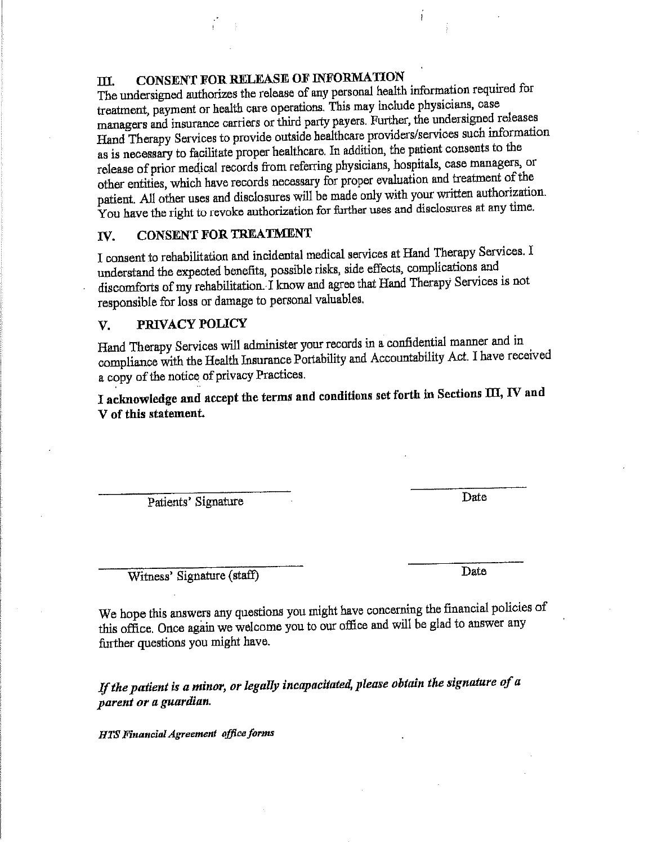#### CONSENT FOR RELEASE OF INFORMATION III.

The undersigned authorizes the release of any personal health information required for treatment, payment or health care operations. This may include physicians, case managers and insurance carriers or third party payers. Further, the undersigned releases Hand Therapy Services to provide outside healthcare providers/services such information as is necessary to facilitate proper healthcare. In addition, the patient consents to the release of prior medical records from referring physicians, hospitals, case managers, or other entities, which have records necessary for proper evaluation and treatment of the patient. All other uses and disclosures will be made only with your written authorization. You have the right to revoke authorization for further uses and disclosures at any time.

#### **CONSENT FOR TREATMENT** TV.

I consent to rehabilitation and incidental medical services at Hand Therapy Services. I understand the expected benefits, possible risks, side effects, complications and discomforts of my rehabilitation. I know and agree that Hand Therapy Services is not responsible for loss or damage to personal valuables.

#### V. PRIVACY POLICY

Hand Therapy Services will administer your records in a confidential manner and in compliance with the Health Insurance Portability and Accountability Act. I have received a copy of the notice of privacy Practices.

I acknowledge and accept the terms and conditions set forth in Sections III, IV and V of this statement.

Patients' Signature

Date

Witness' Signature (staff)

Date

We hope this answers any questions you might have concerning the financial policies of this office. Once again we welcome you to our office and will be glad to answer any further questions you might have.

If the patient is a minor, or legally incapacitated, please obtain the signature of a parent or a guardian.

HTS Financial Agreement office forms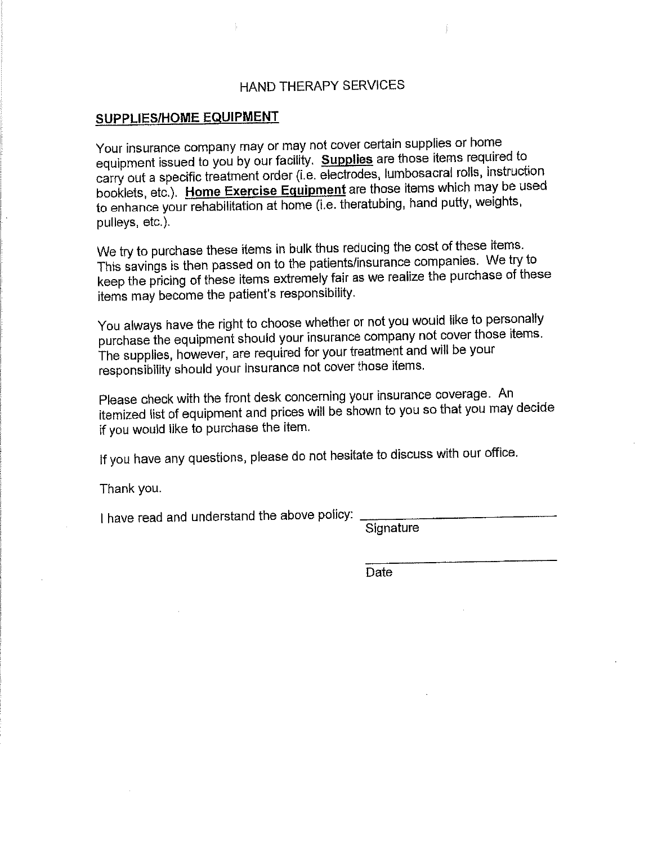### HAND THERAPY SERVICES

#### SUPPLIES/HOME EQUIPMENT

Your insurance company may or may not cover certain supplies or home equipment issued to you by our facility. Supplies are those items required to carry out a specific treatment order (i.e. electrodes, lumbosacral rolls, instruction booklets, etc.). Home Exercise Equipment are those items which may be used to enhance your rehabilitation at home (i.e. theratubing, hand putty, weights, pulleys, etc.).

We try to purchase these items in bulk thus reducing the cost of these items. This savings is then passed on to the patients/insurance companies. We try to keep the pricing of these items extremely fair as we realize the purchase of these items may become the patient's responsibility.

You always have the right to choose whether or not you would like to personally purchase the equipment should your insurance company not cover those items. The supplies, however, are required for your treatment and will be your responsibility should your insurance not cover those items.

Please check with the front desk concerning your insurance coverage. An itemized list of equipment and prices will be shown to you so that you may decide if you would like to purchase the item.

If you have any questions, please do not hesitate to discuss with our office.

Thank you.

I have read and understand the above policy:

Signature

Date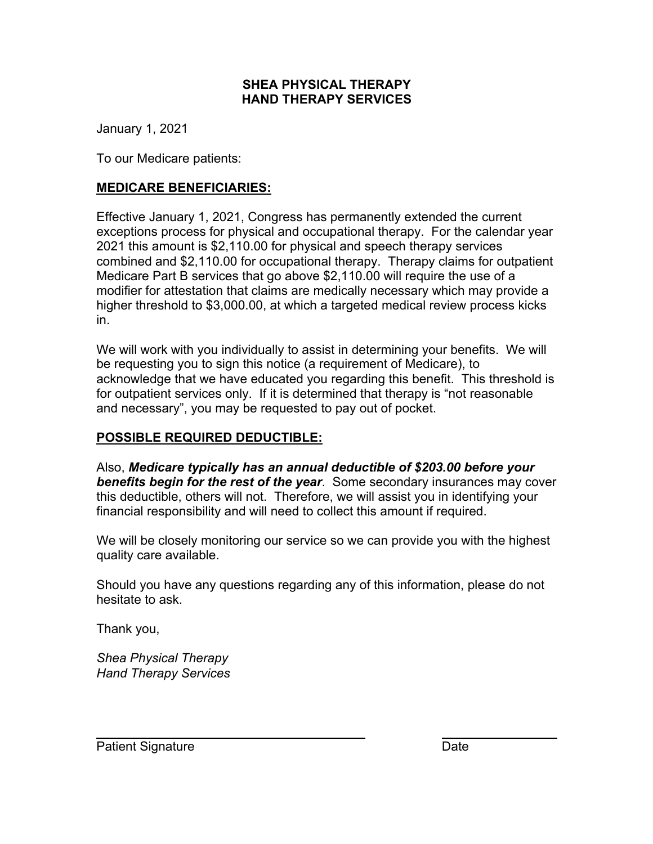### **SHEA PHYSICAL THERAPY HAND THERAPY SERVICES**

January 1, 2021

To our Medicare patients:

## **MEDICARE BENEFICIARIES:**

Effective January 1, 2021, Congress has permanently extended the current exceptions process for physical and occupational therapy. For the calendar year 2021 this amount is \$2,110.00 for physical and speech therapy services combined and \$2,110.00 for occupational therapy. Therapy claims for outpatient Medicare Part B services that go above \$2,110.00 will require the use of a modifier for attestation that claims are medically necessary which may provide a higher threshold to \$3,000.00, at which a targeted medical review process kicks in.

We will work with you individually to assist in determining your benefits. We will be requesting you to sign this notice (a requirement of Medicare), to acknowledge that we have educated you regarding this benefit. This threshold is for outpatient services only. If it is determined that therapy is "not reasonable and necessary", you may be requested to pay out of pocket.

## **POSSIBLE REQUIRED DEDUCTIBLE:**

Also, *Medicare typically has an annual deductible of \$203.00 before your benefits begin for the rest of the year*. Some secondary insurances may cover this deductible, others will not. Therefore, we will assist you in identifying your financial responsibility and will need to collect this amount if required.

We will be closely monitoring our service so we can provide you with the highest quality care available.

Should you have any questions regarding any of this information, please do not hesitate to ask.

Thank you,

*Shea Physical Therapy Hand Therapy Services*

Patient Signature Date Date